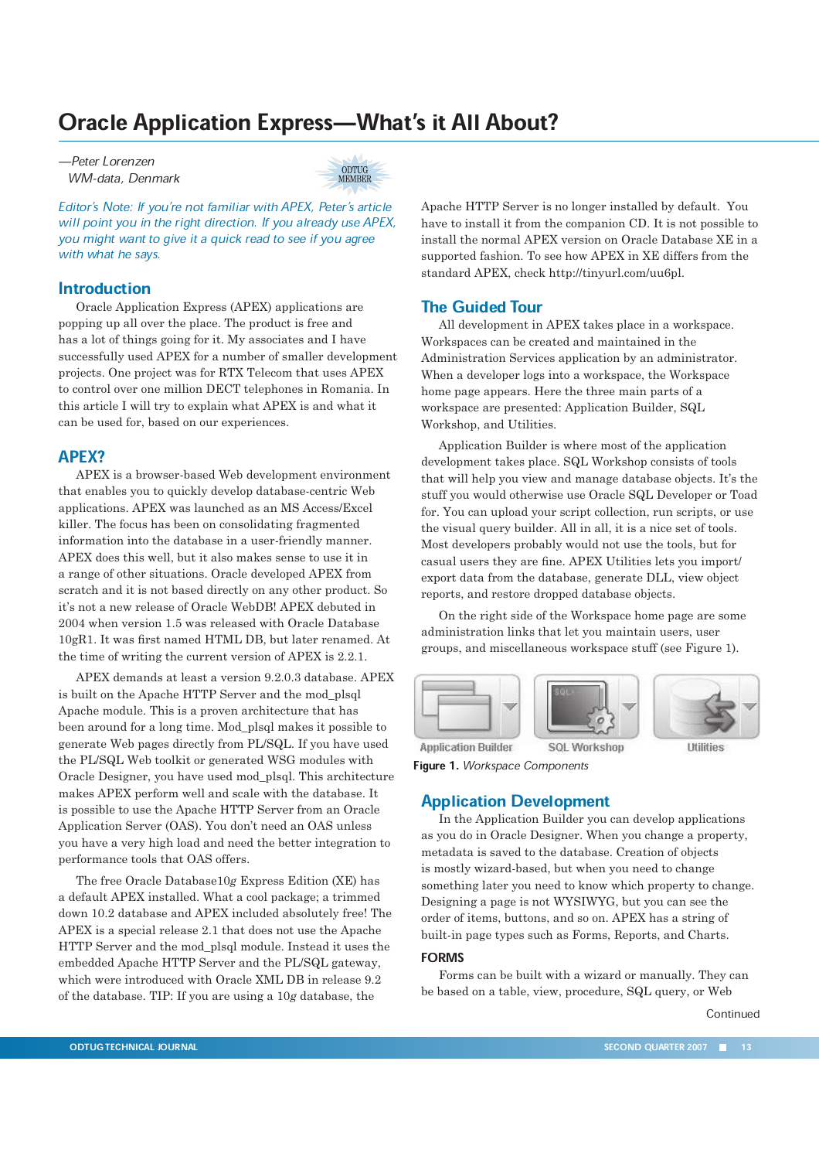# Oracle Application Express—What's it All About?

ÐPeter Lorenzen WM-data, Denmark



Editor's Note: If you're not familiar with APEX, Peter's article will point you in the right direction. If you already use APEX, you might want to give it a quick read to see if you agree with what he says.

## **Introduction**

Oracle Application Express (APEX) applications are popping up all over the place. The product is free and has a lot of things going for it. My associates and I have successfully used APEX for a number of smaller development projects. One project was for RTX Telecom that uses APEX to control over one million DECT telephones in Romania. In this article I will try to explain what APEX is and what it can be used for, based on our experiences.

## APEX?

APEX is a browser-based Web development environment that enables you to quickly develop database-centric Web applications. APEX was launched as an MS Access/Excel killer. The focus has been on consolidating fragmented information into the database in a user-friendly manner. APEX does this well, but it also makes sense to use it in a range of other situations. Oracle developed APEX from scratch and it is not based directly on any other product. So it's not a new release of Oracle WebDB! APEX debuted in 2004 when version 1.5 was released with Oracle Database 10gR1. It was first named HTML DB, but later renamed. At the time of writing the current version of APEX is 2.2.1.

APEX demands at least a version 9.2.0.3 database. APEX is built on the Apache HTTP Server and the mod\_plsql Apache module. This is a proven architecture that has been around for a long time. Mod\_plsql makes it possible to generate Web pages directly from PL/SQL. If you have used the PL/SQL Web toolkit or generated WSG modules with Oracle Designer, you have used mod\_plsql. This architecture makes APEX perform well and scale with the database. It is possible to use the Apache HTTP Server from an Oracle Application Server (OAS). You don't need an OAS unless you have a very high load and need the better integration to performance tools that OAS offers.

The free Oracle Database10*g* Express Edition (XE) has a default APEX installed. What a cool package; a trimmed down 10.2 database and APEX included absolutely free! The APEX is a special release 2.1 that does not use the Apache HTTP Server and the mod\_plsql module. Instead it uses the embedded Apache HTTP Server and the PL/SQL gateway, which were introduced with Oracle XML DB in release 9.2 of the database. TIP: If you are using a 10*g* database, the

Apache HTTP Server is no longer installed by default. You have to install it from the companion CD. It is not possible to install the normal APEX version on Oracle Database XE in a supported fashion. To see how APEX in XE differs from the standard APEX, check http://tinyurl.com/uu6pl.

## The Guided Tour

All development in APEX takes place in a workspace. Workspaces can be created and maintained in the Administration Services application by an administrator. When a developer logs into a workspace, the Workspace home page appears. Here the three main parts of a workspace are presented: Application Builder, SQL Workshop, and Utilities.

Application Builder is where most of the application development takes place. SQL Workshop consists of tools that will help you view and manage database objects. It's the stuff you would otherwise use Oracle SQL Developer or Toad for. You can upload your script collection, run scripts, or use the visual query builder. All in all, it is a nice set of tools. Most developers probably would not use the tools, but for casual users they are fine. APEX Utilities lets you import/ export data from the database, generate DLL, view object reports, and restore dropped database objects.

On the right side of the Workspace home page are some administration links that let you maintain users, user groups, and miscellaneous workspace stuff (see Figure 1).



**Application Builder** SOL Workshop Figure 1. Workspace Components

## Application Development

In the Application Builder you can develop applications as you do in Oracle Designer. When you change a property, metadata is saved to the database. Creation of objects is mostly wizard-based, but when you need to change something later you need to know which property to change. Designing a page is not WYSIWYG, but you can see the order of items, buttons, and so on. APEX has a string of built-in page types such as Forms, Reports, and Charts.

#### **FORMS**

Forms can be built with a wizard or manually. They can be based on a table, view, procedure, SQL query, or Web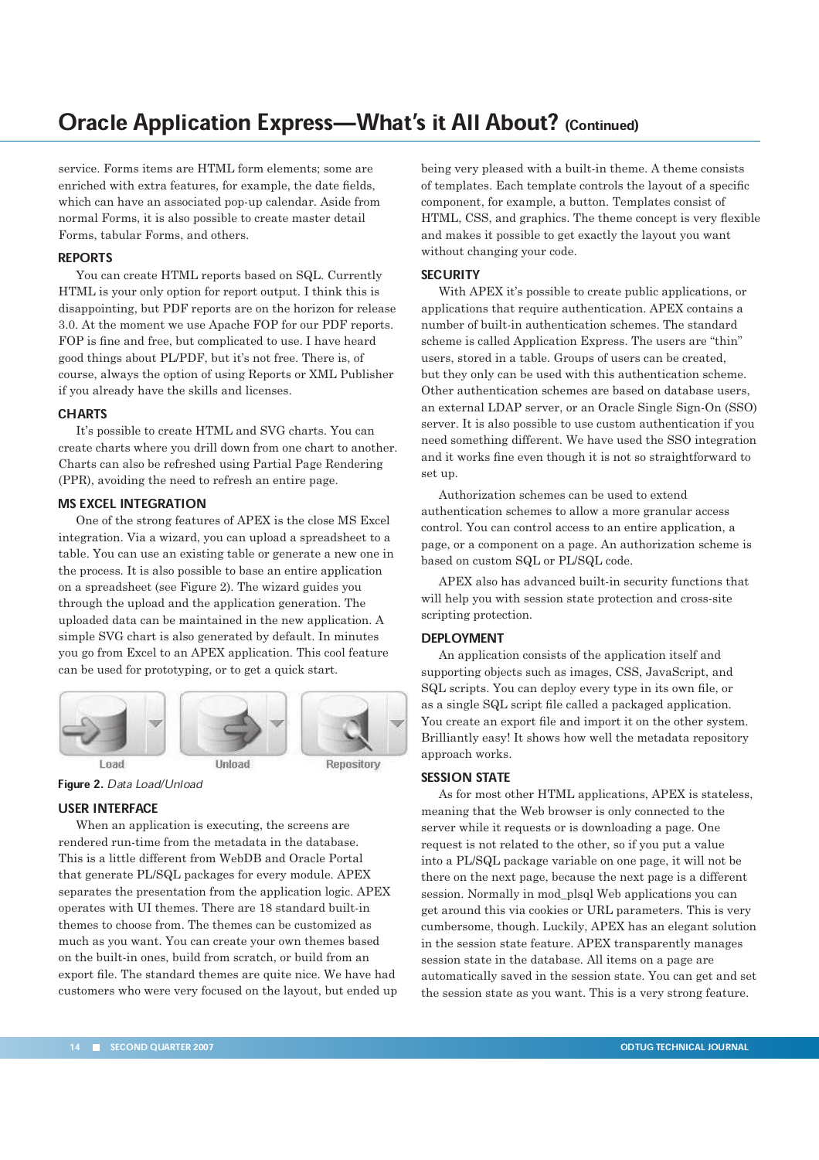# Oracle Application Express—What's it All About? (Continued)

service. Forms items are HTML form elements; some are enriched with extra features, for example, the date fields, which can have an associated pop-up calendar. Aside from normal Forms, it is also possible to create master detail Forms, tabular Forms, and others.

#### REPORTS

You can create HTML reports based on SQL. Currently HTML is your only option for report output. I think this is disappointing, but PDF reports are on the horizon for release 3.0. At the moment we use Apache FOP for our PDF reports. FOP is fine and free, but complicated to use. I have heard good things about PL/PDF, but it's not free. There is, of course, always the option of using Reports or XML Publisher if you already have the skills and licenses.

#### **CHARTS**

It's possible to create HTML and SVG charts. You can create charts where you drill down from one chart to another. Charts can also be refreshed using Partial Page Rendering (PPR), avoiding the need to refresh an entire page.

## MS EXCEL INTEGRATION

One of the strong features of APEX is the close MS Excel integration. Via a wizard, you can upload a spreadsheet to a table. You can use an existing table or generate a new one in the process. It is also possible to base an entire application on a spreadsheet (see Figure 2). The wizard guides you through the upload and the application generation. The uploaded data can be maintained in the new application. A simple SVG chart is also generated by default. In minutes you go from Excel to an APEX application. This cool feature can be used for prototyping, or to get a quick start.



Load

Figure 2. Data Load/Unload

## USER INTERFACE

When an application is executing, the screens are rendered run-time from the metadata in the database. This is a little different from WebDB and Oracle Portal that generate PL/SQL packages for every module. APEX separates the presentation from the application logic. APEX operates with UI themes. There are 18 standard built-in themes to choose from. The themes can be customized as much as you want. You can create your own themes based on the built-in ones, build from scratch, or build from an export file. The standard themes are quite nice. We have had customers who were very focused on the layout, but ended up being very pleased with a built-in theme. A theme consists of templates. Each template controls the layout of a specific component, for example, a button. Templates consist of HTML, CSS, and graphics. The theme concept is very flexible and makes it possible to get exactly the layout you want without changing your code.

#### **SECURITY**

With APEX it's possible to create public applications, or applications that require authentication. APEX contains a number of built-in authentication schemes. The standard scheme is called Application Express. The users are "thin" users, stored in a table. Groups of users can be created, but they only can be used with this authentication scheme. Other authentication schemes are based on database users, an external LDAP server, or an Oracle Single Sign-On (SSO) server. It is also possible to use custom authentication if you need something different. We have used the SSO integration and it works fine even though it is not so straightforward to set up.

Authorization schemes can be used to extend authentication schemes to allow a more granular access control. You can control access to an entire application, a page, or a component on a page. An authorization scheme is based on custom SQL or PL/SQL code.

APEX also has advanced built-in security functions that will help you with session state protection and cross-site scripting protection.

#### DEPLOYMENT

An application consists of the application itself and supporting objects such as images, CSS, JavaScript, and SQL scripts. You can deploy every type in its own file, or as a single SQL script file called a packaged application. You create an export file and import it on the other system. Brilliantly easy! It shows how well the metadata repository approach works.

### SESSION STATE

As for most other HTML applications, APEX is stateless, meaning that the Web browser is only connected to the server while it requests or is downloading a page. One request is not related to the other, so if you put a value into a PL/SQL package variable on one page, it will not be there on the next page, because the next page is a different session. Normally in mod\_plsql Web applications you can get around this via cookies or URL parameters. This is very cumbersome, though. Luckily, APEX has an elegant solution in the session state feature. APEX transparently manages session state in the database. All items on a page are automatically saved in the session state. You can get and set the session state as you want. This is a very strong feature.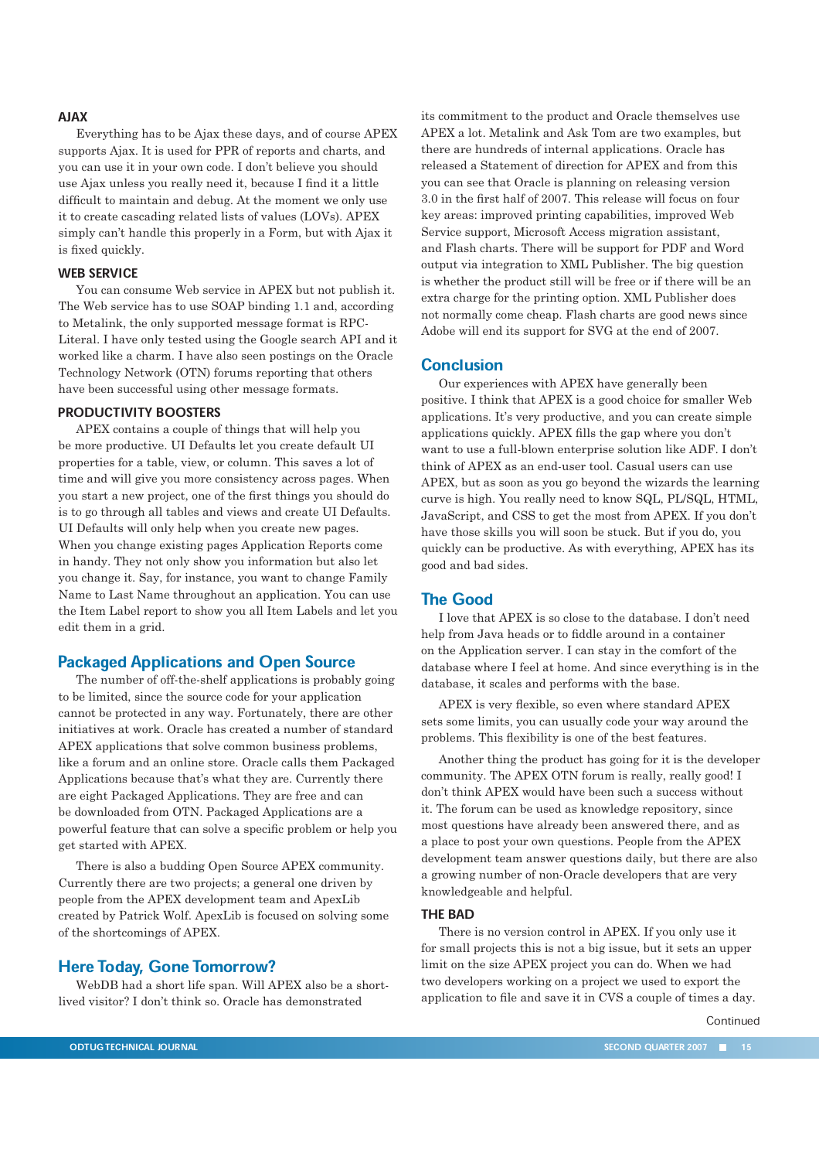## **AJAX**

Everything has to be Ajax these days, and of course APEX supports Ajax. It is used for PPR of reports and charts, and you can use it in your own code. I don't believe you should use Ajax unless you really need it, because I find it a little difficult to maintain and debug. At the moment we only use it to create cascading related lists of values (LOVs). APEX simply can't handle this properly in a Form, but with Ajax it is fixed quickly.

#### WEB SERVICE

You can consume Web service in APEX but not publish it. The Web service has to use SOAP binding 1.1 and, according to Metalink, the only supported message format is RPC-Literal. I have only tested using the Google search API and it worked like a charm. I have also seen postings on the Oracle Technology Network (OTN) forums reporting that others have been successful using other message formats.

## PRODUCTIVITY BOOSTERS

APEX contains a couple of things that will help you be more productive. UI Defaults let you create default UI properties for a table, view, or column. This saves a lot of time and will give you more consistency across pages. When you start a new project, one of the first things you should do is to go through all tables and views and create UI Defaults. UI Defaults will only help when you create new pages. When you change existing pages Application Reports come in handy. They not only show you information but also let you change it. Say, for instance, you want to change Family Name to Last Name throughout an application. You can use the Item Label report to show you all Item Labels and let you edit them in a grid.

## Packaged Applications and Open Source

The number of off-the-shelf applications is probably going to be limited, since the source code for your application cannot be protected in any way. Fortunately, there are other initiatives at work. Oracle has created a number of standard APEX applications that solve common business problems, like a forum and an online store. Oracle calls them Packaged Applications because that's what they are. Currently there are eight Packaged Applications. They are free and can be downloaded from OTN. Packaged Applications are a powerful feature that can solve a specific problem or help you get started with APEX.

There is also a budding Open Source APEX community. Currently there are two projects; a general one driven by people from the APEX development team and ApexLib created by Patrick Wolf. ApexLib is focused on solving some of the shortcomings of APEX.

#### Here Today, Gone Tomorrow?

WebDB had a short life span. Will APEX also be a shortlived visitor? I don't think so. Oracle has demonstrated

its commitment to the product and Oracle themselves use APEX a lot. Metalink and Ask Tom are two examples, but there are hundreds of internal applications. Oracle has released a Statement of direction for APEX and from this you can see that Oracle is planning on releasing version 3.0 in the first half of 2007. This release will focus on four key areas: improved printing capabilities, improved Web Service support, Microsoft Access migration assistant, and Flash charts. There will be support for PDF and Word output via integration to XML Publisher. The big question is whether the product still will be free or if there will be an extra charge for the printing option. XML Publisher does not normally come cheap. Flash charts are good news since Adobe will end its support for SVG at the end of 2007.

#### Conclusion

Our experiences with APEX have generally been positive. I think that APEX is a good choice for smaller Web applications. It's very productive, and you can create simple applications quickly. APEX fills the gap where you don't want to use a full-blown enterprise solution like ADF. I don't think of APEX as an end-user tool. Casual users can use APEX, but as soon as you go beyond the wizards the learning curve is high. You really need to know SQL, PL/SQL, HTML, JavaScript, and CSS to get the most from APEX. If you don't have those skills you will soon be stuck. But if you do, you quickly can be productive. As with everything, APEX has its good and bad sides.

## The Good

I love that APEX is so close to the database. I don't need help from Java heads or to fiddle around in a container on the Application server. I can stay in the comfort of the database where I feel at home. And since everything is in the database, it scales and performs with the base.

APEX is very flexible, so even where standard APEX sets some limits, you can usually code your way around the problems. This flexibility is one of the best features.

Another thing the product has going for it is the developer community. The APEX OTN forum is really, really good! I don't think APEX would have been such a success without it. The forum can be used as knowledge repository, since most questions have already been answered there, and as a place to post your own questions. People from the APEX development team answer questions daily, but there are also a growing number of non-Oracle developers that are very knowledgeable and helpful.

#### THE BAD

There is no version control in APEX. If you only use it for small projects this is not a big issue, but it sets an upper limit on the size APEX project you can do. When we had two developers working on a project we used to export the application to file and save it in CVS a couple of times a day.